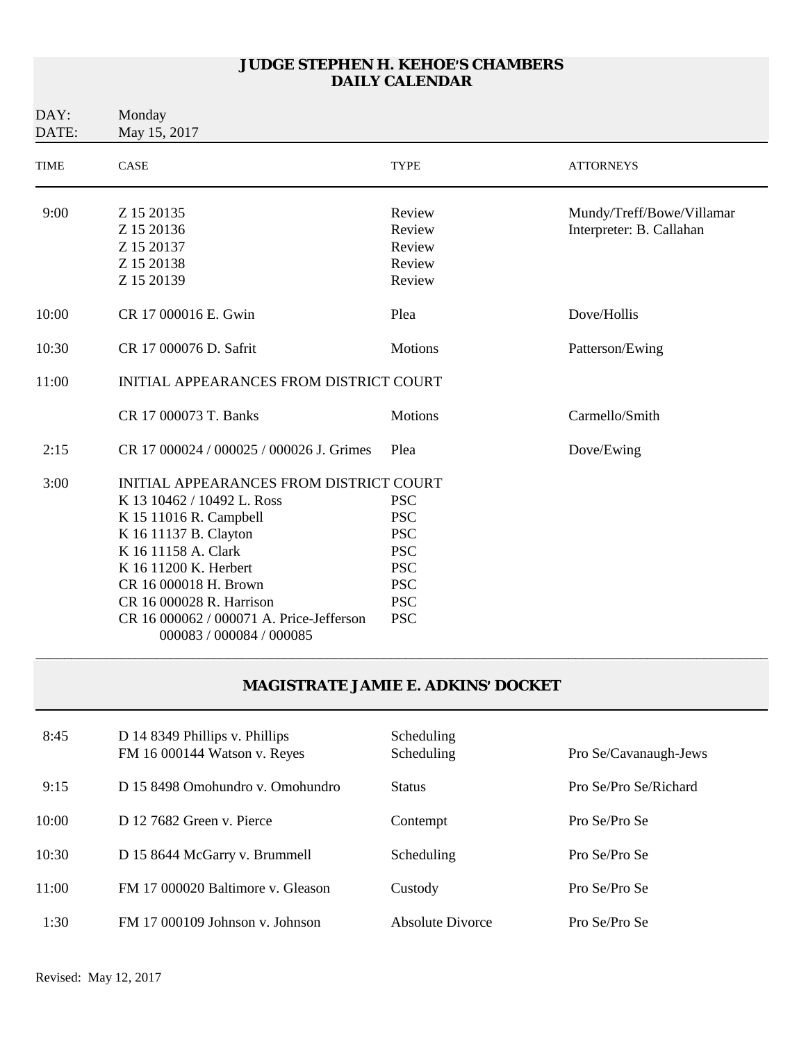| DAY:<br>DATE: | Monday<br>May 15, 2017                                               |                |                           |  |
|---------------|----------------------------------------------------------------------|----------------|---------------------------|--|
| <b>TIME</b>   | CASE                                                                 | <b>TYPE</b>    | <b>ATTORNEYS</b>          |  |
| 9:00          | Z 15 20135                                                           | Review         | Mundy/Treff/Bowe/Villamar |  |
|               | Z 15 20136                                                           | Review         | Interpreter: B. Callahan  |  |
|               | Z 15 20137                                                           | Review         |                           |  |
|               | Z 15 20138                                                           | Review         |                           |  |
|               | Z 15 20139                                                           | Review         |                           |  |
| 10:00         | CR 17 000016 E. Gwin                                                 | Plea           | Dove/Hollis               |  |
| 10:30         | CR 17 000076 D. Safrit                                               | Motions        | Patterson/Ewing           |  |
| 11:00         | <b>INITIAL APPEARANCES FROM DISTRICT COURT</b>                       |                |                           |  |
|               | CR 17 000073 T. Banks                                                | <b>Motions</b> | Carmello/Smith            |  |
| 2:15          | CR 17 000024 / 000025 / 000026 J. Grimes                             | Plea           | Dove/Ewing                |  |
| 3:00          | INITIAL APPEARANCES FROM DISTRICT COURT                              |                |                           |  |
|               | K 13 10462 / 10492 L. Ross                                           | <b>PSC</b>     |                           |  |
|               | K 15 11016 R. Campbell                                               | <b>PSC</b>     |                           |  |
|               | K 16 11137 B. Clayton                                                | <b>PSC</b>     |                           |  |
|               | K 16 11158 A. Clark                                                  | <b>PSC</b>     |                           |  |
|               | K 16 11200 K. Herbert                                                | <b>PSC</b>     |                           |  |
|               | CR 16 000018 H. Brown                                                | <b>PSC</b>     |                           |  |
|               | CR 16 000028 R. Harrison                                             | <b>PSC</b>     |                           |  |
|               | CR 16 000062 / 000071 A. Price-Jefferson<br>000083 / 000084 / 000085 | <b>PSC</b>     |                           |  |

#### **MAGISTRATE JAMIE E. ADKINS**= **DOCKET**

| 8:45  | D 14 8349 Phillips v. Phillips<br>FM 16 000144 Watson v. Reyes | Scheduling<br>Scheduling | Pro Se/Cavanaugh-Jews |
|-------|----------------------------------------------------------------|--------------------------|-----------------------|
| 9:15  | D 15 8498 Omohundro v. Omohundro                               | <b>Status</b>            | Pro Se/Pro Se/Richard |
| 10:00 | D 12 7682 Green v. Pierce                                      | Contempt                 | Pro Se/Pro Se         |
| 10:30 | D 15 8644 McGarry v. Brummell                                  | Scheduling               | Pro Se/Pro Se         |
| 11:00 | FM 17 000020 Baltimore v. Gleason                              | Custody                  | Pro Se/Pro Se         |
| 1:30  | FM 17 000109 Johnson v. Johnson                                | Absolute Divorce         | Pro Se/Pro Se         |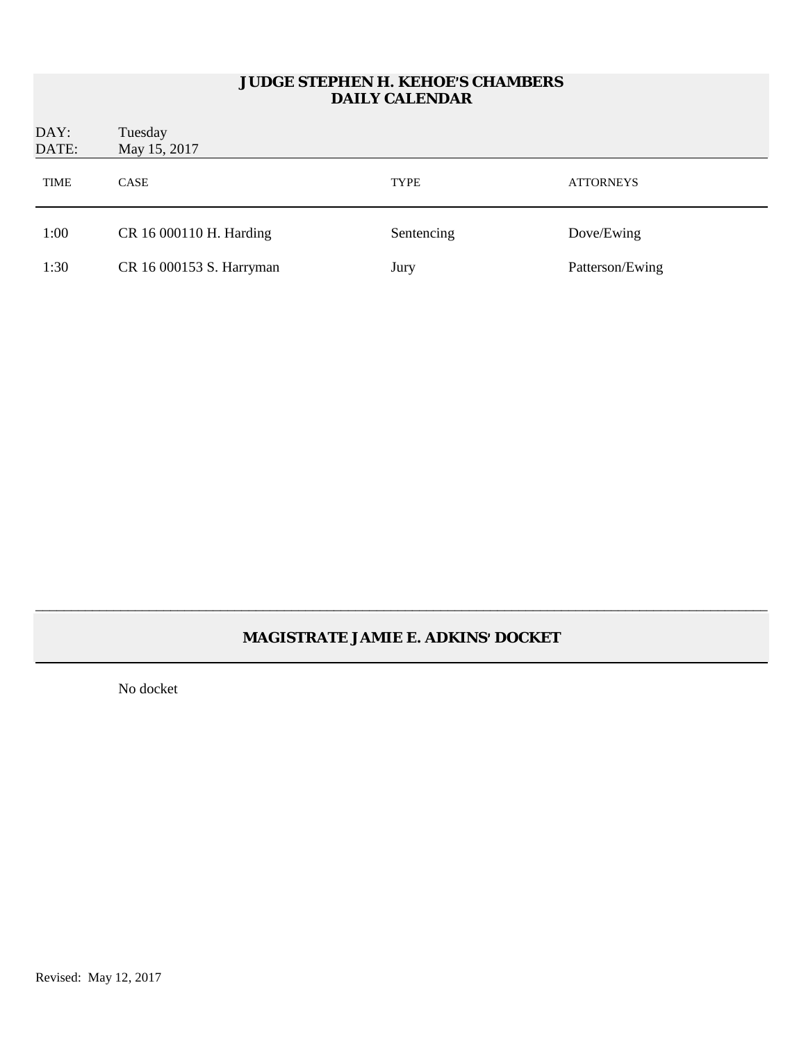| DAY:<br>DATE: | Tuesday<br>May 15, 2017  |             |                  |
|---------------|--------------------------|-------------|------------------|
| <b>TIME</b>   | <b>CASE</b>              | <b>TYPE</b> | <b>ATTORNEYS</b> |
| 1:00          | CR 16 000110 H. Harding  | Sentencing  | Dove/Ewing       |
| 1:30          | CR 16 000153 S. Harryman | Jury        | Patterson/Ewing  |

# **MAGISTRATE JAMIE E. ADKINS**= **DOCKET**

\_\_\_\_\_\_\_\_\_\_\_\_\_\_\_\_\_\_\_\_\_\_\_\_\_\_\_\_\_\_\_\_\_\_\_\_\_\_\_\_\_\_\_\_\_\_\_\_\_\_\_\_\_\_\_\_\_\_\_\_\_\_\_\_\_\_\_\_\_\_\_\_\_\_\_\_\_\_\_\_\_\_\_\_\_\_\_\_\_\_\_\_\_\_\_\_\_\_\_\_\_\_\_

No docket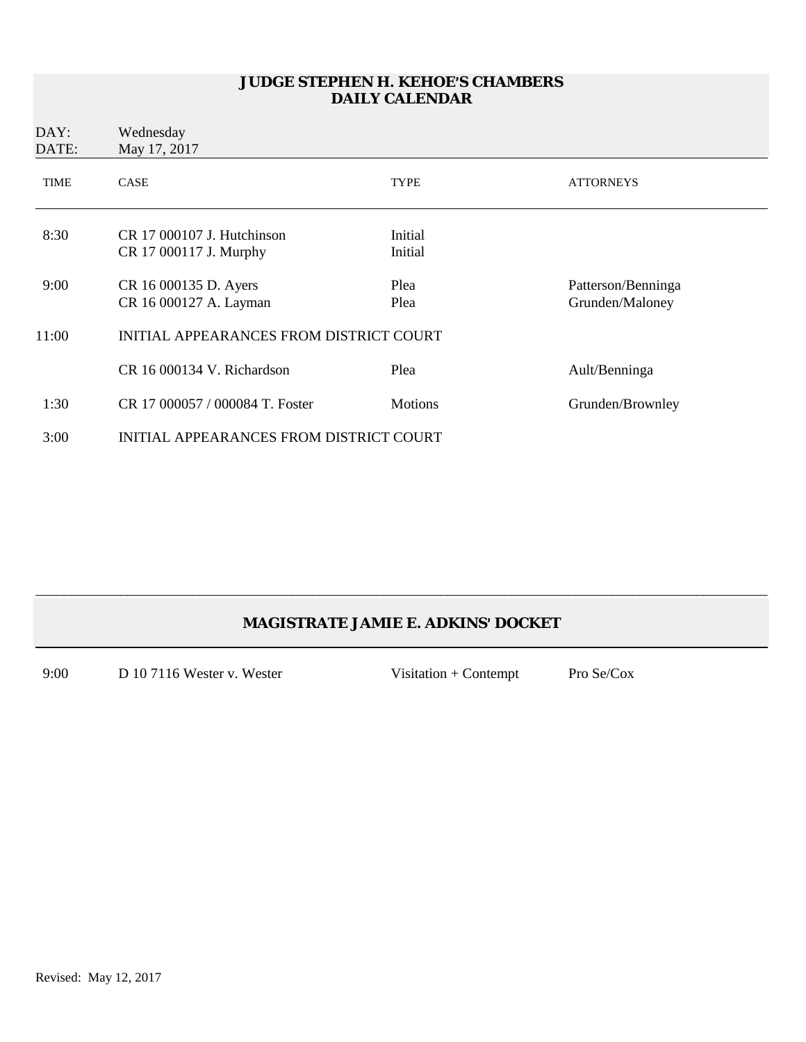| DAY:<br>DATE: | Wednesday<br>May 17, 2017                              |                    |                                       |
|---------------|--------------------------------------------------------|--------------------|---------------------------------------|
| <b>TIME</b>   | <b>CASE</b>                                            | <b>TYPE</b>        | <b>ATTORNEYS</b>                      |
| 8:30          | $CR$ 17 000107 J. Hutchinson<br>CR 17 000117 J. Murphy | Initial<br>Initial |                                       |
| 9:00          | CR 16 000135 D. Ayers<br>CR 16 000127 A. Layman        | Plea<br>Plea       | Patterson/Benninga<br>Grunden/Maloney |
| 11:00         | INITIAL APPEARANCES FROM DISTRICT COURT                |                    |                                       |
|               | CR 16 000134 V. Richardson                             | Plea               | Ault/Benninga                         |
| 1:30          | CR 17 000057 / 000084 T. Foster                        | <b>Motions</b>     | Grunden/Brownley                      |
| 3:00          | <b>INITIAL APPEARANCES FROM DISTRICT COURT</b>         |                    |                                       |

# **MAGISTRATE JAMIE E. ADKINS**= **DOCKET**

\_\_\_\_\_\_\_\_\_\_\_\_\_\_\_\_\_\_\_\_\_\_\_\_\_\_\_\_\_\_\_\_\_\_\_\_\_\_\_\_\_\_\_\_\_\_\_\_\_\_\_\_\_\_\_\_\_\_\_\_\_\_\_\_\_\_\_\_\_\_\_\_\_\_\_\_\_\_\_\_\_\_\_\_\_\_\_\_\_\_\_\_\_\_\_\_\_\_\_\_\_\_\_

9:00 D 10 7116 Wester v. Wester Visitation + Contempt Pro Se/Cox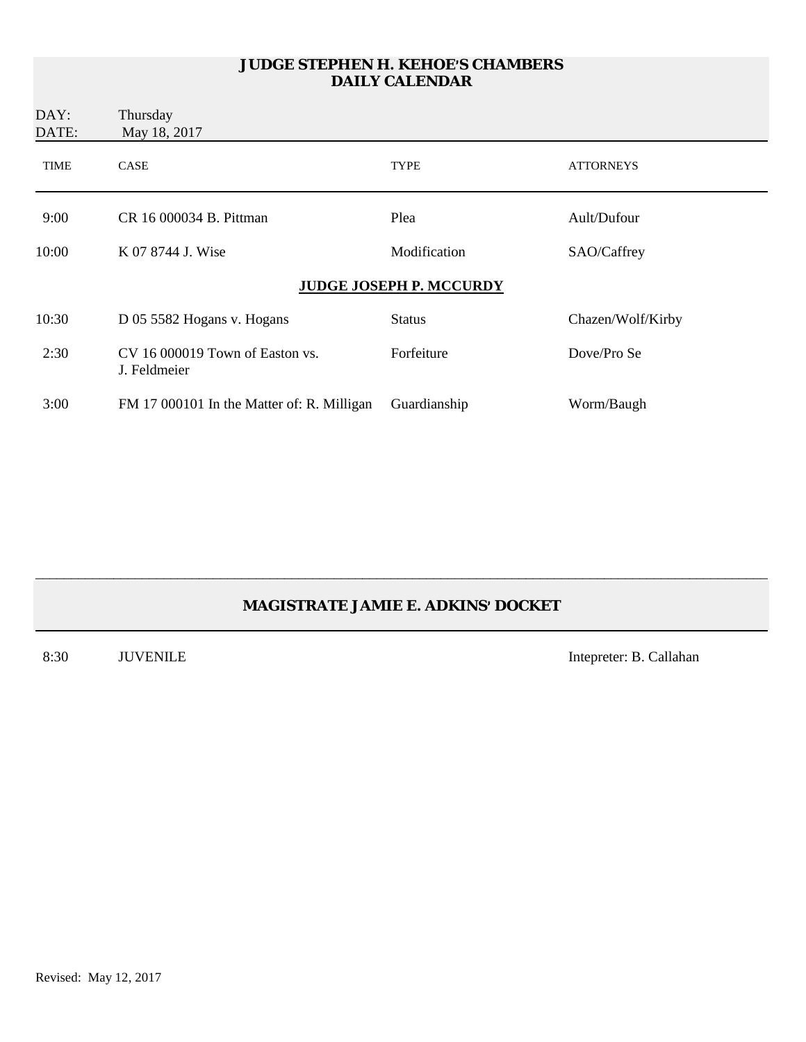| DAY:<br>DATE: | Thursday<br>May 18, 2017                          |                         |                   |
|---------------|---------------------------------------------------|-------------------------|-------------------|
| <b>TIME</b>   | <b>CASE</b>                                       | TYPE                    | <b>ATTORNEYS</b>  |
| 9:00          | CR 16 000034 B. Pittman                           | Plea                    | Ault/Dufour       |
| 10:00         | K 07 8744 J. Wise                                 | Modification            | SAO/Caffrey       |
|               |                                                   | JUDGE JOSEPH P. MCCURDY |                   |
| 10:30         | D 05 5582 Hogans v. Hogans                        | <b>Status</b>           | Chazen/Wolf/Kirby |
| 2:30          | $CV$ 16 000019 Town of Easton vs.<br>J. Feldmeier | Forfeiture              | Dove/Pro Se       |
| 3:00          | FM 17 000101 In the Matter of: R. Milligan        | Guardianship            | Worm/Baugh        |

# **MAGISTRATE JAMIE E. ADKINS**= **DOCKET**

\_\_\_\_\_\_\_\_\_\_\_\_\_\_\_\_\_\_\_\_\_\_\_\_\_\_\_\_\_\_\_\_\_\_\_\_\_\_\_\_\_\_\_\_\_\_\_\_\_\_\_\_\_\_\_\_\_\_\_\_\_\_\_\_\_\_\_\_\_\_\_\_\_\_\_\_\_\_\_\_\_\_\_\_\_\_\_\_\_\_\_\_\_\_\_\_\_\_\_\_\_\_\_

8:30 JUVENILE Intepreter: B. Callahan